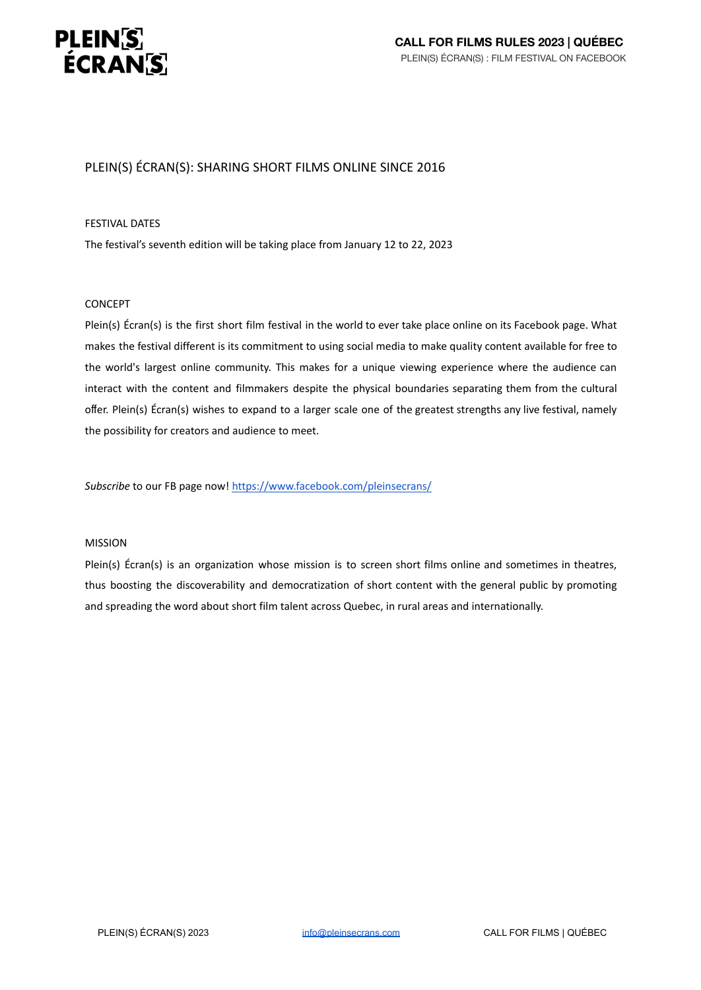

# PLEIN(S) ÉCRAN(S): SHARING SHORT FILMS ONLINE SINCE 2016

#### FESTIVAL DATES

The festival's seventh edition will be taking place from January 12 to 22, 2023

#### CONCEPT

Plein(s) Écran(s) is the first short film festival in the world to ever take place online on its Facebook page. What makes the festival different is its commitment to using social media to make quality content available for free to the world's largest online community. This makes for a unique viewing experience where the audience can interact with the content and filmmakers despite the physical boundaries separating them from the cultural offer. Plein(s) Écran(s) wishes to expand to a larger scale one of the greatest strengths any live festival, namely the possibility for creators and audience to meet.

*Subscribe* to our FB page now! <https://www.facebook.com/pleinsecrans/>

#### MISSION

Plein(s) Écran(s) is an organization whose mission is to screen short films online and sometimes in theatres, thus boosting the discoverability and democratization of short content with the general public by promoting and spreading the word about short film talent across Quebec, in rural areas and internationally.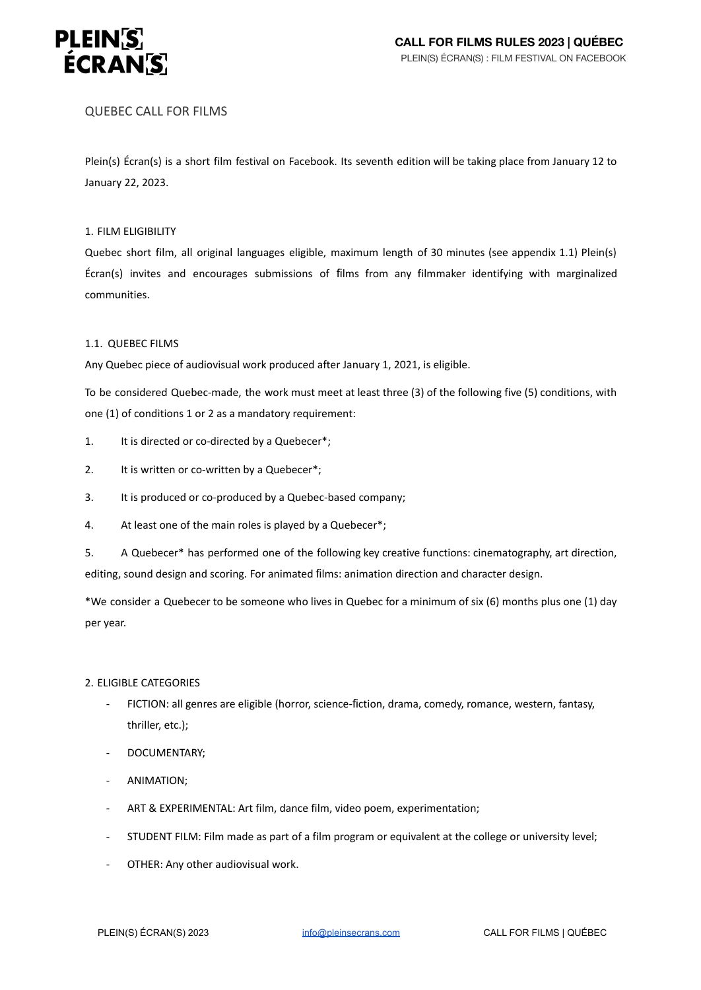

# QUEBEC CALL FOR FILMS

Plein(s) Écran(s) is a short film festival on Facebook. Its seventh edition will be taking place from January 12 to January 22, 2023.

## 1. FILM ELIGIBILITY

Quebec short film, all original languages eligible, maximum length of 30 minutes (see appendix 1.1) Plein(s) Écran(s) invites and encourages submissions of films from any filmmaker identifying with marginalized communities.

# 1.1. QUEBEC FILMS

Any Quebec piece of audiovisual work produced after January 1, 2021, is eligible.

To be considered Quebec-made, the work must meet at least three (3) of the following five (5) conditions, with one (1) of conditions 1 or 2 as a mandatory requirement:

- 1. It is directed or co-directed by a Quebecer\*;
- 2. It is written or co-written by a Quebecer<sup>\*</sup>;
- 3. It is produced or co-produced by a Quebec-based company;
- 4. At least one of the main roles is played by a Quebecer\*;
- 5. A Quebecer\* has performed one of the following key creative functions: cinematography, art direction, editing, sound design and scoring. For animated films: animation direction and character design.

\*We consider a Quebecer to be someone who lives in Quebec for a minimum of six (6) months plus one (1) day per year.

## 2. ELIGIBLE CATEGORIES

- FICTION: all genres are eligible (horror, science-fiction, drama, comedy, romance, western, fantasy, thriller, etc.);
- DOCUMENTARY;
- ANIMATION;
- ART & EXPERIMENTAL: Art film, dance film, video poem, experimentation;
- STUDENT FILM: Film made as part of a film program or equivalent at the college or university level;
- OTHER: Any other audiovisual work.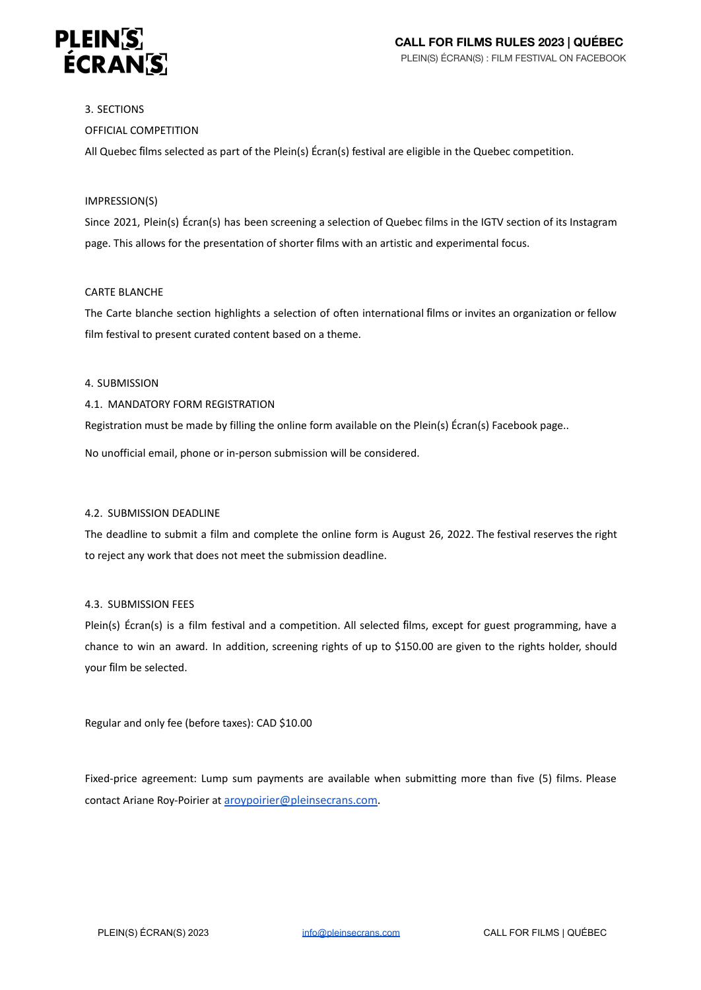

#### 3. SECTIONS

# OFFICIAL COMPETITION

All Quebec films selected as part of the Plein(s) Écran(s) festival are eligible in the Quebec competition.

#### IMPRESSION(S)

Since 2021, Plein(s) Écran(s) has been screening a selection of Quebec films in the IGTV section of its Instagram page. This allows for the presentation of shorter films with an artistic and experimental focus.

#### CARTE BLANCHE

The Carte blanche section highlights a selection of often international films or invites an organization or fellow film festival to present curated content based on a theme.

#### 4. SUBMISSION

## 4.1. MANDATORY FORM REGISTRATION

Registration must be made by filling the online form available on the Plein(s) Écran(s) Facebook page..

No unofficial email, phone or in-person submission will be considered.

## 4.2. SUBMISSION DEADLINE

The deadline to submit a film and complete the online form is August 26, 2022. The festival reserves the right to reject any work that does not meet the submission deadline.

#### 4.3. SUBMISSION FEES

Plein(s) Écran(s) is a film festival and a competition. All selected films, except for guest programming, have a chance to win an award. In addition, screening rights of up to \$150.00 are given to the rights holder, should your film be selected.

Regular and only fee (before taxes): CAD \$10.00

Fixed-price agreement: Lump sum payments are available when submitting more than five (5) films. Please contact Ariane Roy-Poirier at [aroypoirier@pleinsecrans.com](mailto:aroypoirier@pleinsecrans.com).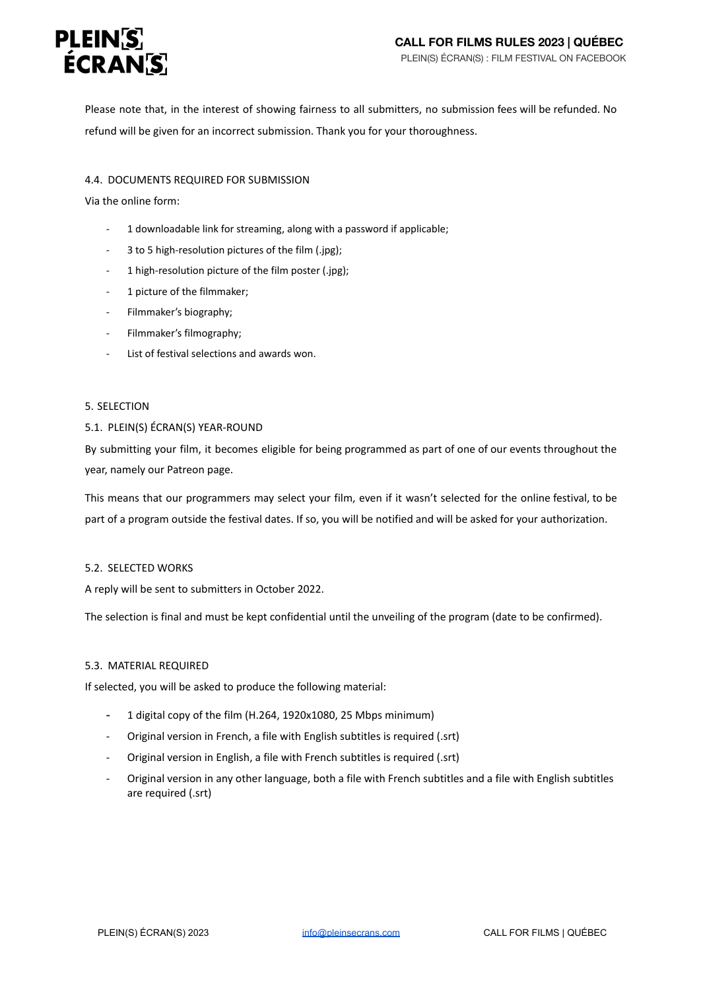

Please note that, in the interest of showing fairness to all submitters, no submission fees will be refunded. No refund will be given for an incorrect submission. Thank you for your thoroughness.

# 4.4. DOCUMENTS REQUIRED FOR SUBMISSION

Via the online form:

- 1 downloadable link for streaming, along with a password if applicable;
- 3 to 5 high-resolution pictures of the film (.jpg);
- 1 high-resolution picture of the film poster (.jpg);
- 1 picture of the filmmaker;
- Filmmaker's biography;
- Filmmaker's filmography;
- List of festival selections and awards won.

## 5. SELECTION

## 5.1. PLEIN(S) ÉCRAN(S) YEAR-ROUND

By submitting your film, it becomes eligible for being programmed as part of one of our events throughout the year, namely our Patreon page.

This means that our programmers may select your film, even if it wasn't selected for the online festival, to be part of a program outside the festival dates. If so, you will be notified and will be asked for your authorization.

## 5.2. SELECTED WORKS

A reply will be sent to submitters in October 2022.

The selection is final and must be kept confidential until the unveiling of the program (date to be confirmed).

## 5.3. MATERIAL REQUIRED

If selected, you will be asked to produce the following material:

- 1 digital copy of the film (H.264, 1920x1080, 25 Mbps minimum)
- Original version in French, a file with English subtitles is required (.srt)
- Original version in English, a file with French subtitles is required (.srt)
- Original version in any other language, both a file with French subtitles and a file with English subtitles are required (.srt)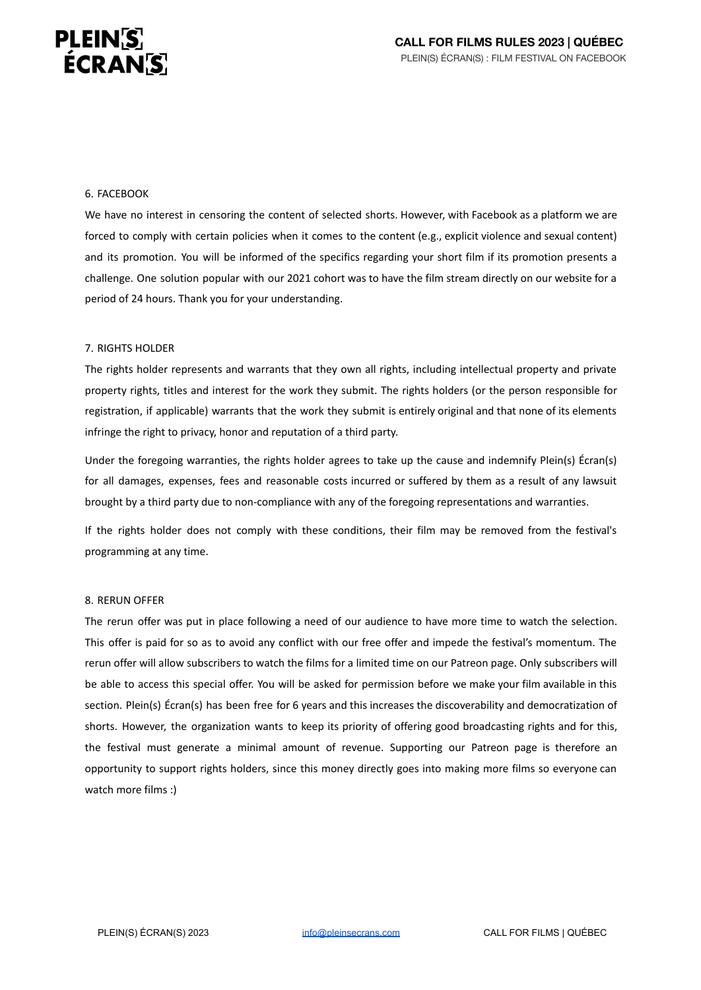# **PLEINS ÉCRAN'S**

#### 6. FACEBOOK

We have no interest in censoring the content of selected shorts. However, with Facebook as a platform we are forced to comply with certain policies when it comes to the content (e.g., explicit violence and sexual content) and its promotion. You will be informed of the specifics regarding your short film if its promotion presents a challenge. One solution popular with our 2021 cohort was to have the film stream directly on our website for a period of 24 hours. Thank you for your understanding.

#### 7. RIGHTS HOLDER

The rights holder represents and warrants that they own all rights, including intellectual property and private property rights, titles and interest for the work they submit. The rights holders (or the person responsible for registration, if applicable) warrants that the work they submit is entirely original and that none of its elements infringe the right to privacy, honor and reputation of a third party.

Under the foregoing warranties, the rights holder agrees to take up the cause and indemnify Plein(s) Écran(s) for all damages, expenses, fees and reasonable costs incurred or suffered by them as a result of any lawsuit brought by a third party due to non-compliance with any of the foregoing representations and warranties.

If the rights holder does not comply with these conditions, their film may be removed from the festival's programming at any time.

#### 8. RERUN OFFER

The rerun offer was put in place following a need of our audience to have more time to watch the selection. This offer is paid for so as to avoid any conflict with our free offer and impede the festival's momentum. The rerun offer will allow subscribers to watch the films for a limited time on our Patreon page. Only subscribers will be able to access this special offer. You will be asked for permission before we make your film available in this section. Plein(s) Écran(s) has been free for 6 years and this increases the discoverability and democratization of shorts. However, the organization wants to keep its priority of offering good broadcasting rights and for this, the festival must generate a minimal amount of revenue. Supporting our Patreon page is therefore an opportunity to support rights holders, since this money directly goes into making more films so everyone can watch more films :)